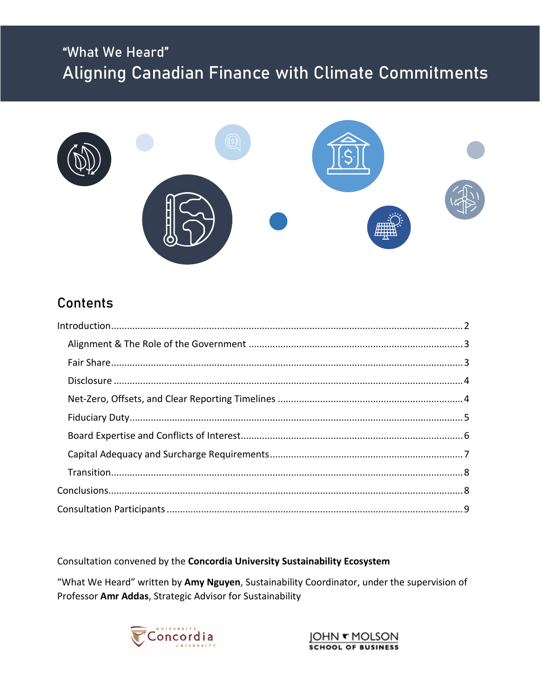# "What We Heard" Aligning Canadian Finance with Climate Commitments



# **Contents**

Consultation convened by the Concordia University Sustainability Ecosystem

"What We Heard" written by Amy Nguyen, Sustainability Coordinator, under the supervision of Professor Amr Addas, Strategic Advisor for Sustainability



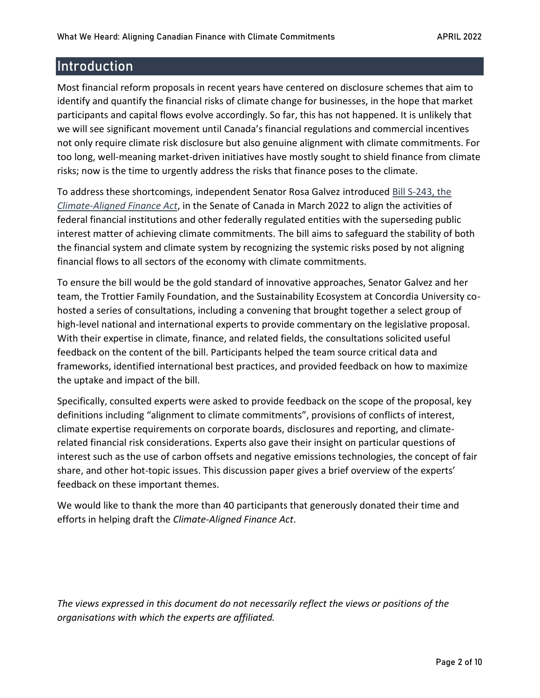# <span id="page-1-0"></span>**Introduction**

Most financial reform proposals in recent years have centered on disclosure schemes that aim to identify and quantify the financial risks of climate change for businesses, in the hope that market participants and capital flows evolve accordingly. So far, this has not happened. It is unlikely that we will see significant movement until Canada's financial regulations and commercial incentives not only require climate risk disclosure but also genuine alignment with climate commitments. For too long, well-meaning market-driven initiatives have mostly sought to shield finance from climate risks; now is the time to urgently address the risks that finance poses to the climate.

To address these shortcomings, independent Senator Rosa Galvez introduced [Bill S-243, the](https://rosagalvez.ca/en/initiatives/climate-aligned-finance/)  *[Climate-Aligned Finance Act](https://rosagalvez.ca/en/initiatives/climate-aligned-finance/)*, in the Senate of Canada in March 2022 to align the activities of federal financial institutions and other federally regulated entities with the superseding public interest matter of achieving climate commitments. The bill aims to safeguard the stability of both the financial system and climate system by recognizing the systemic risks posed by not aligning financial flows to all sectors of the economy with climate commitments.

To ensure the bill would be the gold standard of innovative approaches, Senator Galvez and her team, the Trottier Family Foundation, and the Sustainability Ecosystem at Concordia University cohosted a series of consultations, including a convening that brought together a select group of high-level national and international experts to provide commentary on the legislative proposal. With their expertise in climate, finance, and related fields, the consultations solicited useful feedback on the content of the bill. Participants helped the team source critical data and frameworks, identified international best practices, and provided feedback on how to maximize the uptake and impact of the bill.

Specifically, consulted experts were asked to provide feedback on the scope of the proposal, key definitions including "alignment to climate commitments", provisions of conflicts of interest, climate expertise requirements on corporate boards, disclosures and reporting, and climaterelated financial risk considerations. Experts also gave their insight on particular questions of interest such as the use of carbon offsets and negative emissions technologies, the concept of fair share, and other hot-topic issues. This discussion paper gives a brief overview of the experts' feedback on these important themes.

We would like to thank the more than 40 participants that generously donated their time and efforts in helping draft the *Climate-Aligned Finance Act*.

*The views expressed in this document do not necessarily reflect the views or positions of the organisations with which the experts are affiliated.*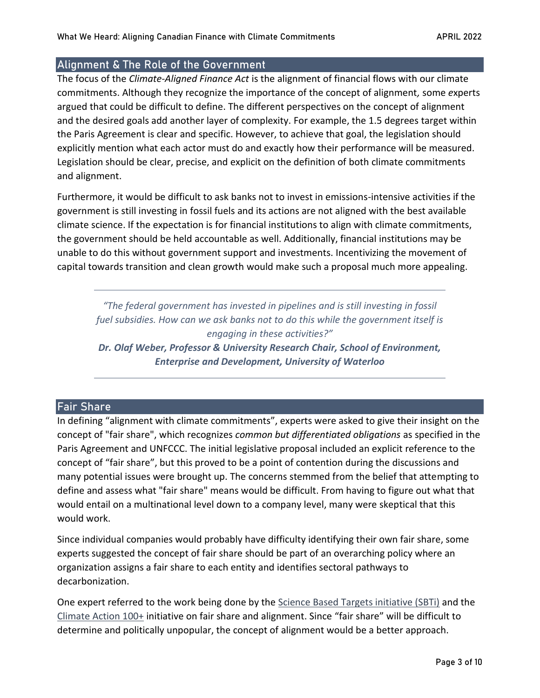# <span id="page-2-0"></span>Alignment & The Role of the Government

The focus of the *Climate-Aligned Finance Act* is the alignment of financial flows with our climate commitments. Although they recognize the importance of the concept of alignment*,* some *e*xperts argued that could be difficult to define. The different perspectives on the concept of alignment and the desired goals add another layer of complexity. For example, the 1.5 degrees target within the Paris Agreement is clear and specific. However, to achieve that goal, the legislation should explicitly mention what each actor must do and exactly how their performance will be measured. Legislation should be clear, precise, and explicit on the definition of both climate commitments and alignment.

Furthermore, it would be difficult to ask banks not to invest in emissions-intensive activities if the government is still investing in fossil fuels and its actions are not aligned with the best available climate science. If the expectation is for financial institutions to align with climate commitments, the government should be held accountable as well. Additionally, financial institutions may be unable to do this without government support and investments. Incentivizing the movement of capital towards transition and clean growth would make such a proposal much more appealing.

*"The federal government has invested in pipelines and is still investing in fossil fuel subsidies. How can we ask banks not to do this while the government itself is engaging in these activities?"*

*Dr. Olaf Weber, Professor & University Research Chair, School of Environment, Enterprise and Development, University of Waterloo*

### <span id="page-2-1"></span>Fair Share

In defining "alignment with climate commitments", experts were asked to give their insight on the concept of "fair share", which recognizes *common but differentiated obligations* as specified in the Paris Agreement and UNFCCC. The initial legislative proposal included an explicit reference to the concept of "fair share", but this proved to be a point of contention during the discussions and many potential issues were brought up. The concerns stemmed from the belief that attempting to define and assess what "fair share" means would be difficult. From having to figure out what that would entail on a multinational level down to a company level, many were skeptical that this would work.

Since individual companies would probably have difficulty identifying their own fair share, some experts suggested the concept of fair share should be part of an overarching policy where an organization assigns a fair share to each entity and identifies sectoral pathways to decarbonization.

One expert referred to the work being done by the [Science Based Targets initiative \(SBTi\)](https://sciencebasedtargets.org/) and the [Climate Action 100+](https://www.climateaction100.org/) initiative on fair share and alignment. Since "fair share" will be difficult to determine and politically unpopular, the concept of alignment would be a better approach.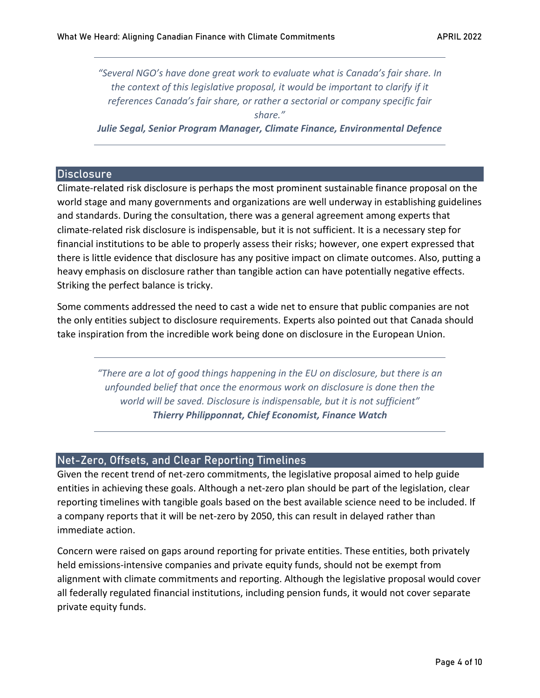*"Several NGO's have done great work to evaluate what is Canada's fair share. In the context of this legislative proposal, it would be important to clarify if it references Canada's fair share, or rather a sectorial or company specific fair share." Julie Segal, Senior Program Manager, Climate Finance, Environmental Defence*

### <span id="page-3-0"></span>**Disclosure**

Climate-related risk disclosure is perhaps the most prominent sustainable finance proposal on the world stage and many governments and organizations are well underway in establishing guidelines and standards. During the consultation, there was a general agreement among experts that climate-related risk disclosure is indispensable, but it is not sufficient. It is a necessary step for financial institutions to be able to properly assess their risks; however, one expert expressed that there is little evidence that disclosure has any positive impact on climate outcomes. Also, putting a heavy emphasis on disclosure rather than tangible action can have potentially negative effects. Striking the perfect balance is tricky.

Some comments addressed the need to cast a wide net to ensure that public companies are not the only entities subject to disclosure requirements. Experts also pointed out that Canada should take inspiration from the incredible work being done on disclosure in the European Union.

*"There are a lot of good things happening in the EU on disclosure, but there is an unfounded belief that once the enormous work on disclosure is done then the world will be saved. Disclosure is indispensable, but it is not sufficient" Thierry Philipponnat, Chief Economist, Finance Watch*

# <span id="page-3-1"></span>Net-Zero, Offsets, and Clear Reporting Timelines

Given the recent trend of net-zero commitments, the legislative proposal aimed to help guide entities in achieving these goals. Although a net-zero plan should be part of the legislation, clear reporting timelines with tangible goals based on the best available science need to be included. If a company reports that it will be net-zero by 2050, this can result in delayed rather than immediate action.

Concern were raised on gaps around reporting for private entities. These entities, both privately held emissions-intensive companies and private equity funds, should not be exempt from alignment with climate commitments and reporting. Although the legislative proposal would cover all federally regulated financial institutions, including pension funds, it would not cover separate private equity funds.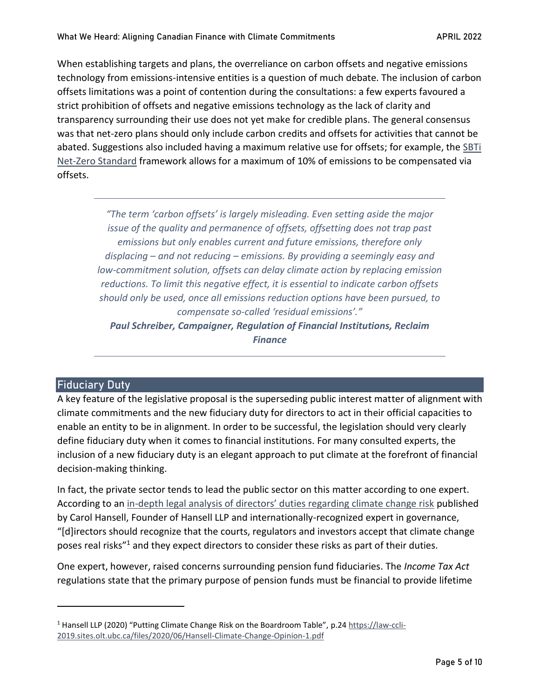When establishing targets and plans, the overreliance on carbon offsets and negative emissions technology from emissions-intensive entities is a question of much debate. The inclusion of carbon offsets limitations was a point of contention during the consultations: a few experts favoured a strict prohibition of offsets and negative emissions technology as the lack of clarity and transparency surrounding their use does not yet make for credible plans. The general consensus was that net-zero plans should only include carbon credits and offsets for activities that cannot be abated. Suggestions also included having a maximum relative use for offsets; for example, the [SBTi](https://sciencebasedtargets.org/resources/files/Net-Zero-Standard.pdf)  [Net-Zero Standard](https://sciencebasedtargets.org/resources/files/Net-Zero-Standard.pdf) framework allows for a maximum of 10% of emissions to be compensated via offsets.

*"The term 'carbon offsets' is largely misleading. Even setting aside the major issue of the quality and permanence of offsets, offsetting does not trap past emissions but only enables current and future emissions, therefore only displacing – and not reducing – emissions. By providing a seemingly easy and low-commitment solution, offsets can delay climate action by replacing emission reductions. To limit this negative effect, it is essential to indicate carbon offsets should only be used, once all emissions reduction options have been pursued, to compensate so-called 'residual emissions'."*

*Paul Schreiber, Campaigner, Regulation of Financial Institutions, Reclaim Finance*

# <span id="page-4-0"></span>Fiduciary Duty

A key feature of the legislative proposal is the superseding public interest matter of alignment with climate commitments and the new fiduciary duty for directors to act in their official capacities to enable an entity to be in alignment. In order to be successful, the legislation should very clearly define fiduciary duty when it comes to financial institutions. For many consulted experts, the inclusion of a new fiduciary duty is an elegant approach to put climate at the forefront of financial decision-making thinking.

In fact, the private sector tends to lead the public sector on this matter according to one expert. According to an in-[depth legal analysis of directors' duties regarding climate change risk](https://law-ccli-2019.sites.olt.ubc.ca/files/2020/06/Hansell-Climate-Change-Opinion-1.pdf) published by Carol Hansell, Founder of Hansell LLP and internationally-recognized expert in governance, "[d]irectors should recognize that the courts, regulators and investors accept that climate change poses real risks"<sup>1</sup> and they expect directors to consider these risks as part of their duties.

One expert, however, raised concerns surrounding pension fund fiduciaries. The *Income Tax Act* regulations state that the primary purpose of pension funds must be financial to provide lifetime

<sup>&</sup>lt;sup>1</sup> Hansell LLP (2020) "Putting Climate Change Risk on the Boardroom Table", p.2[4 https://law-ccli-](https://law-ccli-2019.sites.olt.ubc.ca/files/2020/06/Hansell-Climate-Change-Opinion-1.pdf)[2019.sites.olt.ubc.ca/files/2020/06/Hansell-Climate-Change-Opinion-1.pdf](https://law-ccli-2019.sites.olt.ubc.ca/files/2020/06/Hansell-Climate-Change-Opinion-1.pdf)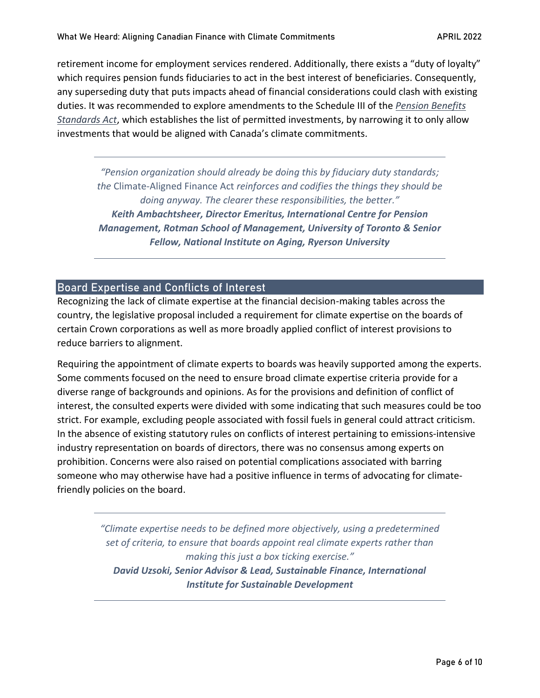retirement income for employment services rendered. Additionally, there exists a "duty of loyalty" which requires pension funds fiduciaries to act in the best interest of beneficiaries. Consequently, any superseding duty that puts impacts ahead of financial considerations could clash with existing duties. It was recommended to explore amendments to the Schedule III of the *[Pension Benefits](https://laws-lois.justice.gc.ca/eng/regulations/sor-87-19/FullText.html)  [Standards Act](https://laws-lois.justice.gc.ca/eng/regulations/sor-87-19/FullText.html)*, which establishes the list of permitted investments, by narrowing it to only allow investments that would be aligned with Canada's climate commitments.

*"Pension organization should already be doing this by fiduciary duty standards; the* Climate-Aligned Finance Act *reinforces and codifies the things they should be doing anyway. The clearer these responsibilities, the better." Keith Ambachtsheer, Director Emeritus, International Centre for Pension Management, Rotman School of Management, University of Toronto & Senior Fellow, National Institute on Aging, Ryerson University*

# <span id="page-5-0"></span>Board Expertise and Conflicts of Interest

Recognizing the lack of climate expertise at the financial decision-making tables across the country, the legislative proposal included a requirement for climate expertise on the boards of certain Crown corporations as well as more broadly applied conflict of interest provisions to reduce barriers to alignment.

Requiring the appointment of climate experts to boards was heavily supported among the experts. Some comments focused on the need to ensure broad climate expertise criteria provide for a diverse range of backgrounds and opinions. As for the provisions and definition of conflict of interest, the consulted experts were divided with some indicating that such measures could be too strict. For example, excluding people associated with fossil fuels in general could attract criticism. In the absence of existing statutory rules on conflicts of interest pertaining to emissions-intensive industry representation on boards of directors, there was no consensus among experts on prohibition. Concerns were also raised on potential complications associated with barring someone who may otherwise have had a positive influence in terms of advocating for climatefriendly policies on the board.

> *"Climate expertise needs to be defined more objectively, using a predetermined set of criteria, to ensure that boards appoint real climate experts rather than making this just a box ticking exercise." David Uzsoki, Senior Advisor & Lead, Sustainable Finance, International Institute for Sustainable Development*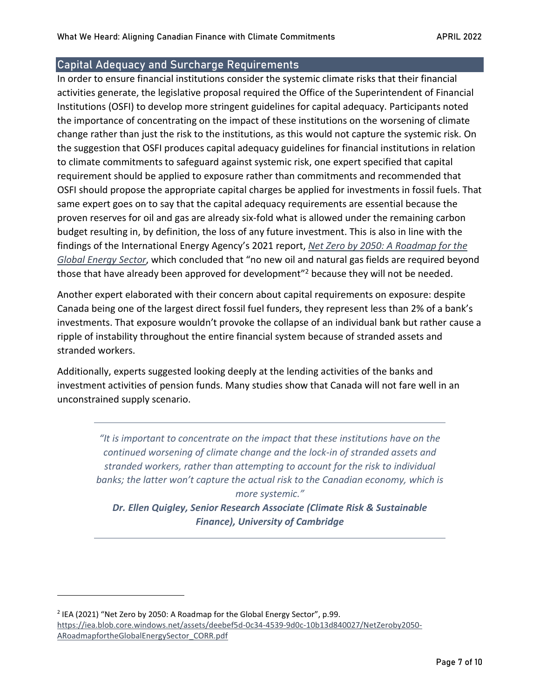# <span id="page-6-0"></span>Capital Adequacy and Surcharge Requirements

In order to ensure financial institutions consider the systemic climate risks that their financial activities generate, the legislative proposal required the Office of the Superintendent of Financial Institutions (OSFI) to develop more stringent guidelines for capital adequacy. Participants noted the importance of concentrating on the impact of these institutions on the worsening of climate change rather than just the risk to the institutions, as this would not capture the systemic risk. On the suggestion that OSFI produces capital adequacy guidelines for financial institutions in relation to climate commitments to safeguard against systemic risk, one expert specified that capital requirement should be applied to exposure rather than commitments and recommended that OSFI should propose the appropriate capital charges be applied for investments in fossil fuels. That same expert goes on to say that the capital adequacy requirements are essential because the proven reserves for oil and gas are already six-fold what is allowed under the remaining carbon budget resulting in, by definition, the loss of any future investment. This is also in line with the findings of the International Energy Agency's 2021 report, *[Net Zero by 2050: A Roadmap for the](https://iea.blob.core.windows.net/assets/deebef5d-0c34-4539-9d0c-10b13d840027/NetZeroby2050-ARoadmapfortheGlobalEnergySector_CORR.pdf)  [Global Energy Sector](https://iea.blob.core.windows.net/assets/deebef5d-0c34-4539-9d0c-10b13d840027/NetZeroby2050-ARoadmapfortheGlobalEnergySector_CORR.pdf)*, which concluded that "no new oil and natural gas fields are required beyond those that have already been approved for development<sup>"2</sup> because they will not be needed.

Another expert elaborated with their concern about capital requirements on exposure: despite Canada being one of the largest direct fossil fuel funders, they represent less than 2% of a bank's investments. That exposure wouldn't provoke the collapse of an individual bank but rather cause a ripple of instability throughout the entire financial system because of stranded assets and stranded workers.

Additionally, experts suggested looking deeply at the lending activities of the banks and investment activities of pension funds. Many studies show that Canada will not fare well in an unconstrained supply scenario.

*"It is important to concentrate on the impact that these institutions have on the continued worsening of climate change and the lock-in of stranded assets and stranded workers, rather than attempting to account for the risk to individual banks; the latter won't capture the actual risk to the Canadian economy, which is more systemic."*

*Dr. Ellen Quigley, Senior Research Associate (Climate Risk & Sustainable Finance), University of Cambridge*

 $2$  IEA (2021) "Net Zero by 2050: A Roadmap for the Global Energy Sector", p.99. [https://iea.blob.core.windows.net/assets/deebef5d-0c34-4539-9d0c-10b13d840027/NetZeroby2050-](https://iea.blob.core.windows.net/assets/deebef5d-0c34-4539-9d0c-10b13d840027/NetZeroby2050-ARoadmapfortheGlobalEnergySector_CORR.pdf) [ARoadmapfortheGlobalEnergySector\\_CORR.pdf](https://iea.blob.core.windows.net/assets/deebef5d-0c34-4539-9d0c-10b13d840027/NetZeroby2050-ARoadmapfortheGlobalEnergySector_CORR.pdf)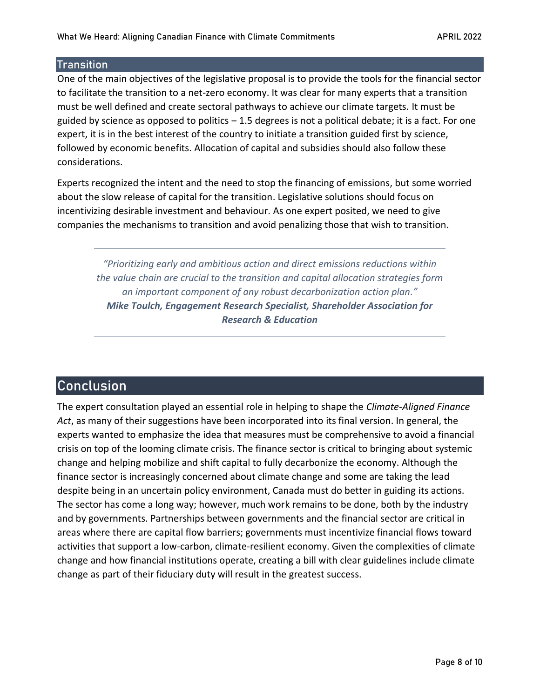### <span id="page-7-0"></span>**Transition**

One of the main objectives of the legislative proposal is to provide the tools for the financial sector to facilitate the transition to a net-zero economy. It was clear for many experts that a transition must be well defined and create sectoral pathways to achieve our climate targets. It must be guided by science as opposed to politics  $-1.5$  degrees is not a political debate; it is a fact. For one expert, it is in the best interest of the country to initiate a transition guided first by science, followed by economic benefits. Allocation of capital and subsidies should also follow these considerations.

Experts recognized the intent and the need to stop the financing of emissions, but some worried about the slow release of capital for the transition. Legislative solutions should focus on incentivizing desirable investment and behaviour. As one expert posited, we need to give companies the mechanisms to transition and avoid penalizing those that wish to transition.

*"Prioritizing early and ambitious action and direct emissions reductions within the value chain are crucial to the transition and capital allocation strategies form an important component of any robust decarbonization action plan." Mike Toulch, Engagement Research Specialist, Shareholder Association for Research & Education*

# <span id="page-7-1"></span>Conclusion

The expert consultation played an essential role in helping to shape the *Climate-Aligned Finance Act*, as many of their suggestions have been incorporated into its final version. In general, the experts wanted to emphasize the idea that measures must be comprehensive to avoid a financial crisis on top of the looming climate crisis. The finance sector is critical to bringing about systemic change and helping mobilize and shift capital to fully decarbonize the economy. Although the finance sector is increasingly concerned about climate change and some are taking the lead despite being in an uncertain policy environment, Canada must do better in guiding its actions. The sector has come a long way; however, much work remains to be done, both by the industry and by governments. Partnerships between governments and the financial sector are critical in areas where there are capital flow barriers; governments must incentivize financial flows toward activities that support a low-carbon, climate-resilient economy. Given the complexities of climate change and how financial institutions operate, creating a bill with clear guidelines include climate change as part of their fiduciary duty will result in the greatest success.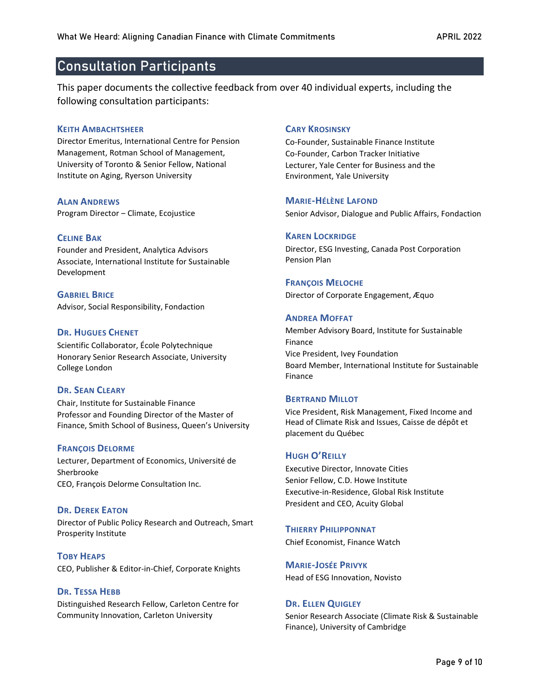# <span id="page-8-0"></span>Consultation Participants

This paper documents the collective feedback from over 40 individual experts, including the following consultation participants:

#### **KEITH AMBACHTSHEER**

Director Emeritus, International Centre for Pension Management, Rotman School of Management, University of Toronto & Senior Fellow, National Institute on Aging, Ryerson University

**ALAN ANDREWS** Program Director ‒ Climate, Ecojustice

#### **CELINE BAK**

Founder and President, Analytica Advisors Associate, International Institute for Sustainable Development

**GABRIEL BRICE** Advisor, Social Responsibility, Fondaction

#### **DR. HUGUES CHENET**

Scientific Collaborator, École Polytechnique Honorary Senior Research Associate, University College London

#### **DR. SEAN CLEARY**

Chair, Institute for Sustainable Finance Professor and Founding Director of the Master of Finance, Smith School of Business, Queen's University

#### **FRANÇOIS DELORME**

Lecturer, Department of Economics, Université de Sherbrooke CEO, François Delorme Consultation Inc.

#### **DR. DEREK EATON**

Director of Public Policy Research and Outreach, Smart Prosperity Institute

**TOBY HEAPS** CEO, Publisher & Editor-in-Chief, Corporate Knights

#### **DR. TESSA HEBB**

Distinguished Research Fellow, Carleton Centre for Community Innovation, Carleton University

#### **CARY KROSINSKY**

Co-Founder, Sustainable Finance Institute Co-Founder, Carbon Tracker Initiative Lecturer, Yale Center for Business and the Environment, Yale University

#### **MARIE-HÉLÈNE LAFOND**

Senior Advisor, Dialogue and Public Affairs, Fondaction

#### **KAREN LOCKRIDGE**

Director, ESG Investing, Canada Post Corporation Pension Plan

#### **FRANÇOIS MELOCHE**

Director of Corporate Engagement, Æquo

#### **ANDREA MOFFAT**

Member Advisory Board, Institute for Sustainable Finance Vice President, Ivey Foundation Board Member, International Institute for Sustainable Finance

#### **BERTRAND MILLOT**

Vice President, Risk Management, Fixed Income and Head of Climate Risk and Issues, Caisse de dépôt et placement du Québec

#### **HUGH O'REILLY**

Executive Director, Innovate Cities Senior Fellow, C.D. Howe Institute Executive-in-Residence, Global Risk Institute President and CEO, Acuity Global

**THIERRY PHILIPPONNAT** Chief Economist, Finance Watch

**MARIE-JOSÉE PRIVYK** Head of ESG Innovation, Novisto

#### **DR. ELLEN QUIGLEY**

Senior Research Associate (Climate Risk & Sustainable Finance), University of Cambridge